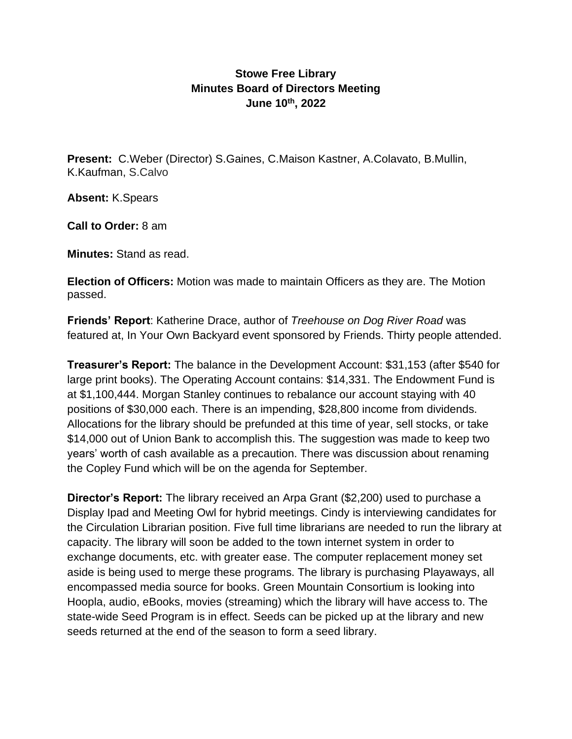## **Stowe Free Library Minutes Board of Directors Meeting June 10th, 2022**

**Present:** C.Weber (Director) S.Gaines, C.Maison Kastner, A.Colavato, B.Mullin, K.Kaufman, S.Calvo

**Absent:** K.Spears

**Call to Order:** 8 am

**Minutes:** Stand as read.

**Election of Officers:** Motion was made to maintain Officers as they are. The Motion passed.

**Friends' Report**: Katherine Drace, author of *Treehouse on Dog River Road* was featured at, In Your Own Backyard event sponsored by Friends. Thirty people attended.

**Treasurer's Report:** The balance in the Development Account: \$31,153 (after \$540 for large print books). The Operating Account contains: \$14,331. The Endowment Fund is at \$1,100,444. Morgan Stanley continues to rebalance our account staying with 40 positions of \$30,000 each. There is an impending, \$28,800 income from dividends. Allocations for the library should be prefunded at this time of year, sell stocks, or take \$14,000 out of Union Bank to accomplish this. The suggestion was made to keep two years' worth of cash available as a precaution. There was discussion about renaming the Copley Fund which will be on the agenda for September.

**Director's Report:** The library received an Arpa Grant (\$2,200) used to purchase a Display Ipad and Meeting Owl for hybrid meetings. Cindy is interviewing candidates for the Circulation Librarian position. Five full time librarians are needed to run the library at capacity. The library will soon be added to the town internet system in order to exchange documents, etc. with greater ease. The computer replacement money set aside is being used to merge these programs. The library is purchasing Playaways, all encompassed media source for books. Green Mountain Consortium is looking into Hoopla, audio, eBooks, movies (streaming) which the library will have access to. The state-wide Seed Program is in effect. Seeds can be picked up at the library and new seeds returned at the end of the season to form a seed library.